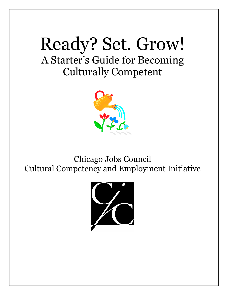# Ready? Set. Grow! A Starter's Guide for Becoming Culturally Competent



Chicago Jobs Council Cultural Competency and Employment Initiative

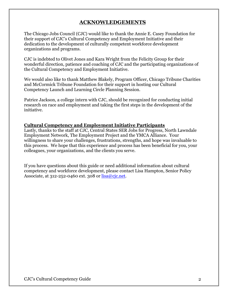# **ACKNOWLEDGEMENTS**

The Chicago Jobs Council (CJC) would like to thank the Annie E. Casey Foundation for their support of CJC's Cultural Competency and Employment Initiative and their dedication to the development of culturally competent workforce development organizations and programs.

CJC is indebted to Olivet Jones and Kara Wright from the Felicity Group for their wonderful direction, patience and coaching of CJC and the participating organizations of the Cultural Competency and Employment Initiative.

We would also like to thank Matthew Blakely, Program Officer, Chicago Tribune Charities and McCormick Tribune Foundation for their support in hosting our Cultural Competency Launch and Learning Circle Planning Session.

Patrice Jackson, a college intern with CJC, should be recognized for conducting initial research on race and employment and taking the first steps in the development of the initiative.

### **Cultural Competency and Employment Initiative Participants**

Lastly, thanks to the staff at CJC, Central States SER Jobs for Progress, North Lawndale Employment Network, The Employment Project and the YMCA Alliance. Your willingness to share your challenges, frustrations, strengths, and hope was invaluable to this process. We hope that this experience and process has been beneficial for you, your colleagues, your organizations, and the clients you serve.

If you have questions about this guide or need additional information about cultural competency and workforce development, please contact Lisa Hampton, Senior Policy Associate, at  $312 - 252 - 0460$  ext.  $308$  or  $lisa@cic.net$ .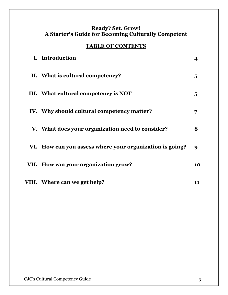# **Ready? Set. Grow! A Starter's Guide for Becoming Culturally Competent**

# **TABLE OF CONTENTS**

| I. Introduction                                          |    |
|----------------------------------------------------------|----|
| II. What is cultural competency?                         | 5  |
| III. What cultural competency is NOT                     | 5  |
| IV. Why should cultural competency matter?               | 7  |
| V. What does your organization need to consider?         | 8  |
| VI. How can you assess where your organization is going? | 9  |
| VII. How can your organization grow?                     | 10 |
| VIII. Where can we get help?                             | 11 |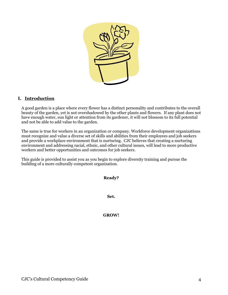

# **I. Introduction**

A good garden is a place where every flower has a distinct personality and contributes to the overall beauty of the garden, yet is not overshadowed by the other plants and flowers. If any plant does not have enough water, sun light or attention from its gardener, it will not blossom to its full potential and not be able to add value to the garden.

The same is true for workers in an organization or company. Workforce development organizations must recognize and value a diverse set of skills and abilities from their employees and job seekers and provide a workplace environment that is nurturing. CJC believes that creating a nurturing environment and addressing racial, ethnic, and other cultural issues, will lead to more productive workers and better opportunities and outcomes for job seekers.

This guide is provided to assist you as you begin to explore diversity training and pursue the building of a more culturally competent organization.

**Ready?** 

**Set.** 

**GROW!**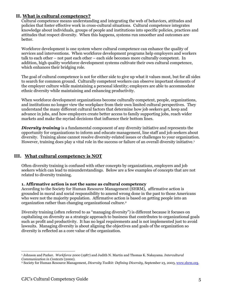### **II. What is cultural competency?**

Cultural competence means understanding and integrating the web of behaviors, attitudes and policies that foster effective work in cross-cultural situations. Cultural competence integrates knowledge about individuals, groups of people and institutions into specific policies, practices and attitudes that respect diversity. When this happens, systems run smoother and outcomes are better.

Workforce development is one system where cultural competence can enhance the quality of services and interventions. When workforce development programs help employers and workers talk to each other – not past each other – each side becomes more culturally competent. In addition, high quality workforce development systems cultivate their own cultural competence, which enhances their bridging role.

The goal of cultural competence is not for either side to give up what it values most, but for all sides to search for common ground. Culturally competent workers can observe important elements of the employer culture while maintaining a personal identity; employers are able to accommodate ethnic diversity while maintaining and enhancing productivity.

When workforce development organizations become culturally competent, people, organizations, and institutions no longer view the workplace from their own limited cultural perspectives. They understand the many different cultural factors that determine how job seekers get, keep and advance in jobs, and how employers create better access to family supporting jobs, reach wider markets and make the myriad decisions that influence their bottom lines.

**Diversity training** is a fundamental component of any diversity initiative and represents the opportunity for organizations to inform and educate management, line staff and job seekers about diversity. Training alone cannot resolve diversity-related issues or challenges to your organization. However, training does play a vital role in the success or failure of an overall diversity initiative.1 

# **III. What cultural competency is NOT**

Often diversity training is confused with other concepts by organizations, employers and job seekers which can lead to misunderstandings. Below are a few examples of concepts that are not related to diversity training.

#### **1. Affirmative action is not the same as cultural competency**

According to the Society for Human Resource Management (SHRM), affirmative action is grounded in moral and social responsibility to amend wrong done in the past to those Americans who were not the majority population. Affirmative action is based on getting people into an organization rather than changing organizational culture.[2](#page-4-1) 

Diversity training (often referred to as "managing diversity") is different because it focuses on capitalizing on diversity as a strategic approach to business that contributes to organizational goals such as profit and productivity. It has no legal requirements and is not implemented just to avoid lawsuits. Managing diversity is about aligning the objectives and goals of the organization so diversity is reflected as a core value of the organization.

<span id="page-4-0"></span> $\overline{a}$ 1 Johnson and Parker. *Workforce 2000* (1987) and Judith N. Martin and Thomas K. Nakayama. *Intercultural Communication in Contexts* (2000). 2 Society for Human Resource Management, *Diversity Toolkit: Defining Diversity*, September 23, 2003, [www.shrm.org](http://www.shrm.org/).

<span id="page-4-1"></span>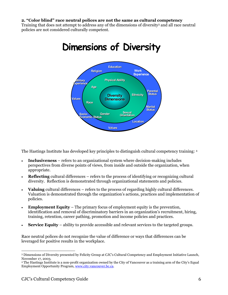#### **2. "Color blind" race neutral polices are not the same as cultural competency**

Training that does not attempt to address any of the dimensions of diversity[3](#page-5-0) and all race neutral policies are not considered culturally competent.



# **Dimensions of Diversity**

The Hastings Institute has developed key principles to distinguish cultural competency training: [4](#page-5-1)

- **Inclusiveness** refers to an organizational system where decision-making includes perspectives from diverse points of views, from inside and outside the organization, when appropriate.
- **Reflecting** cultural differences refers to the process of identifying or recognizing cultural diversity. Reflection is demonstrated through organizational statements and policies.
- **Valuing** cultural differences refers to the process of regarding highly cultural differences. Valuation is demonstrated through the organization's actions, practices and implementation of policies.
- **Employment Equity** The primary focus of employment equity is the prevention, identification and removal of discriminatory barriers in an organization's recruitment, hiring, training, retention, career pathing, promotion and income policies and practices.
- **Service Equity**  ability to provide accessible and relevant services to the targeted groups.

Race neutral polices do not recognize the value of difference or ways that differences can be leveraged for positive results in the workplace.

 $\overline{a}$ 

<span id="page-5-0"></span><sup>3</sup> Dimensions of Diversity presented by Felicity Group at CJC's Cultural Competency and Employment Initiative Launch, November 17, 2003. 4 The Hastings Institute is a non-profit organization owned by the City of Vancouver as a training arm of the City's Equal

<span id="page-5-1"></span>Employment Opportunity Program, [www.city.vancouver.bc.ca.](http://www.city.vancouver.bc.ca/)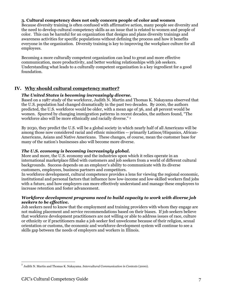#### **3. Cultural competency does not only concern people of color and women**

Because diversity training is often confused with affirmative action, many people see diversity and the need to develop cultural competency skills as an issue that is related to women and people of color. This can be harmful for an organization that designs and plans diversity trainings and awareness activities for specific populations without defining the process and how it benefits everyone in the organization. Diversity training is key to improving the workplace culture for all employees.

Becoming a more culturally competent organization can lead to great and more effective communication, more productivity, and better working relationships with job seekers. Understanding what leads to a culturally competent organization is a key ingredient for a good foundation.

# **IV. Why should cultural competency matter?**

#### *The United States is becoming increasingly diverse.*

Based on a 1987 study of the workforce, Judith N. Martin and Thomas K. Nakayama observed that the U.S. population had changed dramatically in the past two decades. By 2000, the authors predicted, the U.S. workforce would be older, with a mean age of 36, and 48 percent would be women. Spurred by changing immigration patterns in recent decades, the authors found, "The workforce also will be more ethnically and racially diverse." [5](#page-6-0)

By 2030, they predict the U.S. will be a global society in which nearly half of all Americans will be among those now considered racial and ethnic minorities -- primarily Latinos/Hispanics, African-Americans, Asians and Native Americans. These changes, of course, mean the customer base for many of the nation's businesses also will become more diverse.

#### *The U.S. economy is becoming increasingly global.*

More and more, the U.S. economy and the industries upon which it relies operate in an international marketplace filled with customers and job seekers from a world of different cultural backgrounds. Success depends on an employer's ability to communicate with its diverse customers, employees, business partners and competitors.

In workforce development, cultural competence provides a lens for viewing the regional economic, institutional and personal factors that influence how low-income and low-skilled workers find jobs with a future, and how employers can more effectively understand and manage these employees to increase retention and foster advancement.

#### *Workforce development programs need to build capacity to work with diverse job seekers to be effective.*

Job seekers need to know that the employment and training providers with whom they engage are not making placement and service recommendations based on their biases. If job seekers believe that workforce development practitioners are not willing or able to address issues of race, culture or ethnicity or if practitioners make a job seeker feel unwelcome because of their religion, sexual orientation or customs, the economic and workforce development system will continue to see a skills gap between the needs of employers and workers in Illinois.

 $\overline{a}$ 

<span id="page-6-0"></span><sup>5</sup> Judith N. Martin and Thomas K. Nakayama. *Intercultural Communication in Contexts* (2000).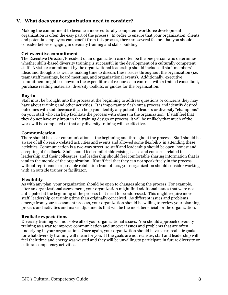# **V. What does your organization need to consider?**

Making the commitment to become a more culturally competent workforce development organization is often the easy part of the process. In order to ensure that your organization, clients and potential employers can benefit from this process, there are several factors that you should consider before engaging in diversity training and skills building.

#### **Get executive commitment**

The Executive Director/President of an organization can often be the one person who determines whether skills-based diversity training is successful in the development of a culturally competent staff. A visible commitment by the organizational leadership should include all staff members' ideas and thoughts as well as making time to discuss these issues throughout the organization (i.e. team/staff meetings, board meetings, and organizational events). Additionally, executive commitment might be shown in the expenditure of resources to contract with a trained consultant, purchase reading materials, diversity toolkits, or guides for the organization.

#### **Buy-in**

Staff must be brought into the process at the beginning to address questions or concerns they may have about training and other activities. It is important to flesh out a process and identify desired outcomes with staff because it can help you identify any potential leaders or diversity "champions" on your staff who can help facilitate the process with others in the organization. If staff feel that they do not have any input in the training design or process, it will be unlikely that much of the work will be completed or that any diversity training will be effective.

#### **Communication**

There should be clear communication at the beginning and throughout the process. Staff should be aware of all diversity-related activities and events and allowed some flexibility in attending these activities. Communication is a two-way street, so staff and leadership should be open, honest and accepting of feedback. Staff should feel comfortable raising issues and concerns related to leadership and their colleagues, and leadership should feel comfortable sharing information that is vital to the morale of the organization. If staff feel that they can not speak freely in the process without reprimands or possible retaliation from others, your organization should consider working with an outside trainer or facilitator.

#### **Flexibility**

As with any plan, your organization should be open to changes along the process. For example, after an organizational assessment, your organization might find additional issues that were not anticipated at the beginning of the process that need to be addressed. This might require more staff, leadership or training time than originally conceived. As different issues and problems emerge from your assessment process, your organization should be willing to review your planning process and activities and make adjustments that will be the most beneficial for the organization.

#### **Realistic expectations**

Diversity training will not solve all of your organizational issues. You should approach diversity training as a way to improve communication and uncover issues and problems that are often underlying in your organization. Once again, your organization should have clear, realistic goals for what diversity training will mean for you. If the goals are not realistic, staff and leadership will feel their time and energy was wasted and they will be unwilling to participate in future diversity or cultural competency activities.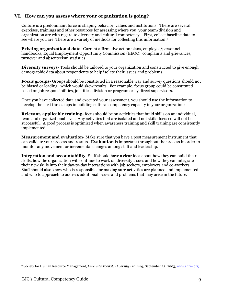# **VI. How can you assess where your organization is going?**

Culture is a predominant force in shaping behavior, values and institutions. There are several exercises, trainings and other resources for assessing where you, your team/division and organization are with regard to diversity and cultural competency. First, collect baseline data to see where you are. There are a variety of methods for collecting this information:<sup>[6](#page-8-0)</sup>

**Existing organizational data**- Current affirmative action plans, employee/personnel handbooks, Equal Employment Opportunity Commission (EEOC) complaints and grievances, turnover and absenteeism statistics.

**Diversity surveys**- Tools should be tailored to your organization and constructed to give enough demographic data about respondents to help isolate their issues and problems.

**Focus groups**- Groups should be constituted in a reasonable way and survey questions should not be biased or leading, which would skew results. For example, focus group could be constituted based on job responsibilities, job titles, division or program or by direct supervisors.

Once you have collected data and executed your assessment, you should use the information to develop the next three steps in building cultural competency capacity in your organization:

**Relevant, applicable training**- focus should be on activities that build skills on an individual, team and organizational level. Any activities that are isolated and not skills-focused will not be successful. A good process is optimized when awareness training and skill training are consistently implemented.

**Measurement and evaluation**- Make sure that you have a post measurement instrument that can validate your process and results. **Evaluation** is important throughout the process in order to monitor any movement or incremental changes among staff and leadership.

**Integration and accountability**- Staff should have a clear idea about how they can build their skills, how the organization will continue to work on diversity issues and how they can integrate their new skills into their day-to-day interactions with job seekers, employers and co-workers. Staff should also know who is responsible for making sure activities are planned and implemented and who to approach to address additional issues and problems that may arise in the future.

<span id="page-8-0"></span> $\overline{a}$ 6 Society for Human Resource Management, *Diversity Toolkit: Diversity Training*, September 23, 2003, [www.shrm.org](http://www.shrm.org/).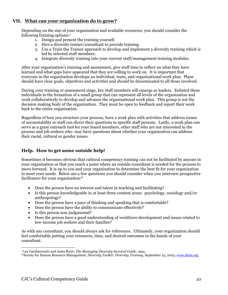# **VII. What can your organization do to grow?**

Depending on the size of your organization and available resources, you should consider the following training options:[7](#page-9-0) 

- 1. Design and present the training yourself.
- 2. Hire a diversity trainer/consultant to provide training.
- 3. Use a Train the Trainer approach to develop and implement a diversity training which is led by selected staff members.
- 4. Integrate diversity training into your current staff/management training modules.

After your organization's training and assessment, give staff time to reflect on what they have learned and what gaps have appeared that they are willing to work on. It is important that everyone in the organization develops an individual, team, and organizational work plan. Plans should have clear goals, objectives and activities and should be disseminated to all those involved.

During your training or assessment stage, key staff members will emerge as leaders. Enlisted these individuals in the formation of a small group that can represent all levels of the organization and work collaboratively to develop and advance the organizational work plan. This group is not the decision making body of the organization. They must be open to feedback and report their work back to the entire organization.

Regardless of how you structure your process, have a work plan with activities that address issues of accountability so staff can direct their questions to specific staff persons. Lastly, a work plan can serve as a great outreach tool for your board members, other staff who are not interested in the process and job seekers who may have questions about whether your organization can address their racial, cultural or gender issues.

# **Help. How to get some outside help!**

Sometimes it becomes obvious that cultural competency training can not be facilitated by anyone in your organization or that you reach a point where an outside consultant is needed for the process to move forward. It is up to you and your organization to determine the best fit for your organization to meet your needs. Below are a few questions you should consider when you interview prospective facilitators for your organization:[8](#page-9-1) 

- Does the person have an interest and talent in teaching and facilitating?
- Is this person knowledgeable in at least three content areas: psychology, sociology and/or anthropology?
- Does the person have a pace of thinking and speaking that is comfortable?
- Does the person have the ability to communicate effectively?
- Is this person non-judgmental?
- Does the person have a good understanding of workforce development and issues related to low-income job seekers and their families?

As with any consultant, you should always ask for references. Ultimately, your organization should feel comfortable putting your resources, time, and desired outcomes in the hands of your consultant.

 $\overline{a}$ 

<span id="page-9-1"></span><span id="page-9-0"></span><sup>7</sup> Lee Gardenswartz and Anita Rowe, *The Managing Diversity Survival Guide*, 1994. 8 Society for Human Resource Management, *Diversity Toolkit: Diversity Training*, September 23, 2003, [www.shrm.org](http://www.shrm.org/)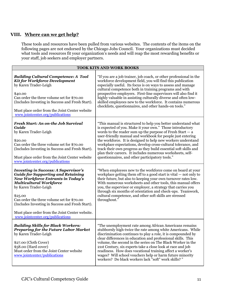# **VIII. Where can we get help?**

These tools and resources have been pulled from various websites. The contents of the items on the following pages are not endorsed by the Chicago Jobs Council. Your organizations must decided what tools and resources fit your organization's needs and will reap the most rewarding benefits or your staff, job seekers and employer partners.

| TOOK KITS AND WORK BOOKS                                                                                                                                                                                                                                                                                                                                                                            |                                                                                                                                                                                                                                                                                                                                                                                                                                                                                                                                                                               |  |
|-----------------------------------------------------------------------------------------------------------------------------------------------------------------------------------------------------------------------------------------------------------------------------------------------------------------------------------------------------------------------------------------------------|-------------------------------------------------------------------------------------------------------------------------------------------------------------------------------------------------------------------------------------------------------------------------------------------------------------------------------------------------------------------------------------------------------------------------------------------------------------------------------------------------------------------------------------------------------------------------------|--|
| <b>Building Cultural Competence: A Tool</b><br><b>Kit for Workforce Development</b><br>by Karen Trader-Leigh<br>\$40.00<br>Can order the three volume set for \$70.00<br>(Includes Investing in Success and Fresh Start).<br>Must place order from the Joint Center website<br>www.jointcenter.org/publications                                                                                     | "If you are a job trainer, job coach, or other professional in the<br>workforce development field, you will find this publication<br>especially useful. Its focus is on ways to assess and manage<br>cultural competence both in training programs and with<br>prospective employers. First-line supervisors will also find it<br>highly valuable in assisting culturally diverse and often low-<br>skilled employees new to the workforce. It contains numerous<br>checklists, questionnaires, and other hands-on tools."                                                    |  |
| Fresh Start: An on-the Job Survival<br>Guide<br>by Karen Trader-Leigh<br>\$20.00<br>Can order the three volume set for \$70.00<br>(Includes Investing in Success and Fresh Start).<br>Must place order from the Joint Center website<br>www.jointcenter.org/publications                                                                                                                            | "This manual is structured to help you better understand what<br>is expected of you. Make it your own." Those introductory<br>words to the reader sum up the purpose of Fresh Start $-$ a<br>user-friendly manual and workbook for people just entering<br>the workforce. It is designed to help new workers understand<br>workplace expectations, develop cross-cultural tolerance, and<br>track their own progress as they build essential soft skills and<br>plan their careers. It includes numerous worksheets, self-<br>questionnaires, and other participatory tools." |  |
| <b>Investing in Success: A Supervisor's</b><br><b>Guide for Supporting and Retaining</b><br><b>New Workforce Entrants in Today's</b><br><b>Multicultural Workforce</b><br>by Karen Trader-Leigh<br>\$25.00<br>Can order the three volume set for \$70.00<br>(Includes Investing in Success and Fresh Start).<br>Must place order from the Joint Center website.<br>www.jointcenter.org/publications | "When employees new to the workforce come on board at your<br>workplace getting them off to a good start is vital $-$ not only to<br>their future, but also to keeping your own turnover rates low.<br>With numerous worksheets and other tools, this manual offers<br>you, the supervisor or employer, a strategy that carries you<br>through six months of orientation and check-ups. Teamwork,<br>cultural competence, and other soft skills are stressed<br>throughout."                                                                                                  |  |
| <b>Building Skills for Black Workers:</b><br><b>Preparing for the Future Labor Market</b><br>by Karen Trader-Leigh<br>\$27.00 (Cloth Cover)<br>\$58.00 (Hard cover)<br>Must order from the Joint Center website<br>www.jointcenter/publications                                                                                                                                                     | "The unemployment rate among African Americans remains<br>stubbornly high-twice the rate among white Americans. While<br>discrimination continues to play a role, it is compounded by<br>clear differences in education and professional skills. This<br>volume, the second in the series on The Black Worker in the<br>21st Century, six experts take a close look at race and job<br>readiness. How does vocational training affect a worker's<br>wages? Will school vouchers help or harm future minority<br>workers? Do black workers lack "soft" work skills? "          |  |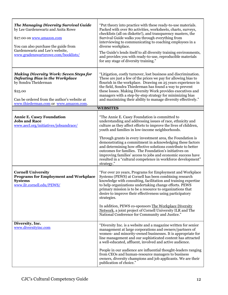| <b>The Managing Diversity Survival Guide</b><br>by Lee Gardenswartz and Anita Rowe<br>\$27.00 on www.amazon.com<br>You can also purchase the guide from<br>Gardenswartz and Lee's website,<br>www.gradenswartzrowe.com/booklists/ | "Put theory into practice with these ready-to-use materials.<br>Packed with over 80 activities, worksheets, charts, surveys,<br>checklists (all on diskette!), and transparency masters, the<br>Survival Guide walks you through everything from<br>interviewing to communicating to coaching employees in a<br>diverse workplace.<br>The Guide's lends itself to all diversity training environments,<br>and provides you with ready-to-use, reproducible materials<br>for any stage of diversity training."                                                     |
|-----------------------------------------------------------------------------------------------------------------------------------------------------------------------------------------------------------------------------------|-------------------------------------------------------------------------------------------------------------------------------------------------------------------------------------------------------------------------------------------------------------------------------------------------------------------------------------------------------------------------------------------------------------------------------------------------------------------------------------------------------------------------------------------------------------------|
| <b>Making Diversity Work: Seven Steps for</b><br><b>Defeating Bias in the Workplace</b><br>by Sondra Theiderman<br>\$25.00<br>Can be ordered from the author's website at<br>www.thiederman.com or www.amazon.com.                | "Litigation, costly turnover, lost business and discrimination.<br>These are just a few of the prices we pay for allowing bias to<br>flourish in the workplace. Drawing on 25 years experience in<br>the field, Sondra Thiederman has found a way to prevent<br>these losses. Making Diversity Work provides executives and<br>managers with a step-by-step strategy for minimizing bias<br>and maximizing their ability to manage diversity effectively."                                                                                                        |
|                                                                                                                                                                                                                                   | <b>WEBSITES</b>                                                                                                                                                                                                                                                                                                                                                                                                                                                                                                                                                   |
| <b>Annie E. Casey Foundation</b><br><b>Jobs and Race</b><br>www.aecf.org/initiatives/jobsandrace/                                                                                                                                 | "The Annie E. Casey Foundation is committed to<br>understanding and addressing issues of race, ethnicity and<br>culture as they affect efforts to improve the lives of children,<br>youth and families in low-income neighborhoods.                                                                                                                                                                                                                                                                                                                               |
|                                                                                                                                                                                                                                   | Through grants in every investment area, the Foundation is<br>demonstrating a commitment in acknowledging these factors<br>and determining how effective solutions contribute to better<br>outcomes for families. The Foundation's initiatives on<br>improving families' access to jobs and economic success have<br>resulted in a "cultural competence in workforce development"<br>strategy."                                                                                                                                                                   |
| <b>Cornell University</b><br><b>Programs for Employment and Workplace</b><br><b>Systems</b><br>www.ilr.cornell.edu/PEWS/                                                                                                          | "For over 20 years, Programs for Employment and Workplace<br>Systems (PEWS) at Cornell has been combining research<br>knowledge with consulting, facilitation and training expertise<br>to help organizations undertaking change efforts. PEWS<br>primary mission is to be a resource to organizations that<br>desire to improve their effectiveness using participatory<br>strategies.<br>In addition, PEWS co-sponsors The Workplace Diversity<br>Network, a joint project of Cornell University ILR and The<br>National Conference for Community and Justice." |
| Diversity, Inc.<br>www.diversityinc.com                                                                                                                                                                                           | "Diversity Inc. is a website and a magazine written for senior<br>management at large corporations and owners/partners of<br>women- and minority-owned businesses. It is appropriate for<br>line management and our sophisticated content has attracted<br>a well-educated, affluent, involved and active audience.                                                                                                                                                                                                                                               |
|                                                                                                                                                                                                                                   | People in our audience are influential thought-leaders ranging<br>from CEOs and human-resource managers to business<br>owners, diversity champions and job applicants. We are their<br>publication of choice."                                                                                                                                                                                                                                                                                                                                                    |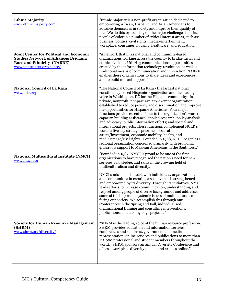| <b>Ethnic Majority</b><br>www.ethnicmajority.com                                                                                                                  | "Ethnic Majority is a non-profit organization dedicated to<br>empowering African, Hispanic, and Asian Americans to<br>advance themselves in society and improve their quality of<br>life. We do this by focusing on the major challenges that face<br>people of color in a number of critical interest areas, such as:<br>business, politics, civil rights, media/entertainment,<br>workplace, consumer, housing, healthcare, and education."                                                                                                                                                                                                                                                                                                                                                                                                                                                                                           |
|-------------------------------------------------------------------------------------------------------------------------------------------------------------------|-----------------------------------------------------------------------------------------------------------------------------------------------------------------------------------------------------------------------------------------------------------------------------------------------------------------------------------------------------------------------------------------------------------------------------------------------------------------------------------------------------------------------------------------------------------------------------------------------------------------------------------------------------------------------------------------------------------------------------------------------------------------------------------------------------------------------------------------------------------------------------------------------------------------------------------------|
| <b>Joint Center for Political and Economic</b><br><b>Studies Network of Alliances Bridging</b><br><b>Race and Ethnicity (NABRE)</b><br>www.jointcenter.org/nabre/ | "A network that links national and community-based<br>organizations working across the country to bridge racial and<br>ethnic divisions. Utilizing communications opportunities<br>created by the information technology revolution, as well as<br>traditional means of communication and interaction, NABRE<br>enables these organizations to share ideas and experiences<br>and to build mutual support."                                                                                                                                                                                                                                                                                                                                                                                                                                                                                                                             |
| <b>National Council of La Raza</b><br>www.nclr.org                                                                                                                | "The National Council of La Raza - the largest national<br>constituency-based Hispanic organization and the leading<br>voice in Washington, DC for the Hispanic community - is a<br>private, nonprofit, nonpartisan, tax-exempt organization<br>established to reduce poverty and discrimination and improve<br>life opportunities for Hispanic Americans. Four major<br>functions provide essential focus to the organization's work:<br>capacity-building assistance; applied research, policy analysis,<br>and advocacy; public information efforts; and special and<br>international projects. These functions complement NCLR's<br>work in five key strategic priorities - education,<br>assets/investment, economic mobility, health, and<br>media/image/civil rights. Founded in 1968, NCLR began as a<br>regional organization concerned primarily with providing<br>grassroots support to Mexican Americans in the Southwest." |
| <b>National Multicultural Institute (NMCI)</b><br>www.nmci.org                                                                                                    | "Founded in 1983, NMCI is proud to be one of the first<br>organizations to have recognized the nation's need for new<br>services, knowledge, and skills in the growing field of<br>multiculturalism and diversity.                                                                                                                                                                                                                                                                                                                                                                                                                                                                                                                                                                                                                                                                                                                      |
|                                                                                                                                                                   | NMCI's mission is to work with individuals, organizations,<br>and communities in creating a society that is strengthened<br>and empowered by its diversity. Through its initiatives, NMCI<br>leads efforts to increase communication, understanding and<br>respect among people of diverse backgrounds and addresses<br>some of the important systemic issues of multiculturalism<br>facing our society. We accomplish this through our<br>Conferences in the Spring and Fall, individualized<br>organizational training and consulting interventions,<br>publications, and leading edge projects."                                                                                                                                                                                                                                                                                                                                     |
| <b>Society for Human Resource Management</b><br>(SHRM)<br>www.shrm.org/diversity/                                                                                 | "SHRM is the leading voice of the human resource profession.<br>SHRM provides education and information services,<br>conferences and seminars, government and media<br>representation, online services and publications to more than<br>115,000 professional and student members throughout the<br>world. SHRM sponsors an annual Diversity Conference and<br>offers a workplace diversity tool kit and articles online."                                                                                                                                                                                                                                                                                                                                                                                                                                                                                                               |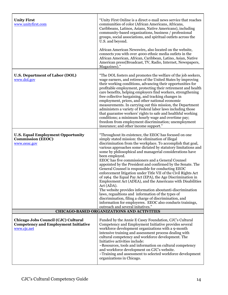| <b>Unity First</b><br>www.unityfirst.com                                                          | "Unity First Online is a direct e-mail news service that reaches<br>communities of color (African Americans, Africans,<br>Caribbeans, Latinos, Asians, Native Americans), including<br>community-based organizations, business / professional<br>groups, social associations, and spiritual outlets across the<br>U.S. and beyond.<br>African American Newswire, also located on the website,<br>connects you with over 4000 ethnic media outlets in the<br>African American, African, Caribbean, Latino, Asian, Native<br>American press(Broadcast, TV, Radio, Internet, Newspapers,                                                                                                                                                                                                                                                                                                                                                                                                         |
|---------------------------------------------------------------------------------------------------|-----------------------------------------------------------------------------------------------------------------------------------------------------------------------------------------------------------------------------------------------------------------------------------------------------------------------------------------------------------------------------------------------------------------------------------------------------------------------------------------------------------------------------------------------------------------------------------------------------------------------------------------------------------------------------------------------------------------------------------------------------------------------------------------------------------------------------------------------------------------------------------------------------------------------------------------------------------------------------------------------|
|                                                                                                   | Magazines)."                                                                                                                                                                                                                                                                                                                                                                                                                                                                                                                                                                                                                                                                                                                                                                                                                                                                                                                                                                                  |
| <b>U.S. Department of Labor (DOL)</b><br>www.dol.gov                                              | "The DOL fosters and promotes the welfare of the job seekers,<br>wage earners, and retirees of the United States by improving<br>their working conditions, advancing their opportunities for<br>profitable employment, protecting their retirement and health<br>care benefits, helping employers find workers, strengthening<br>free collective bargaining, and tracking changes in<br>employment, prices, and other national economic<br>measurements. In carrying out this mission, the Department<br>administers a variety of Federal labor laws including those<br>that guarantee workers' rights to safe and healthful working<br>conditions; a minimum hourly wage and overtime pay;<br>freedom from employment discrimination; unemployment<br>insurance; and other income support."                                                                                                                                                                                                  |
| <b>U.S. Equal Employment Opportunity</b><br><b>Commission (EEOC)</b><br>www.eeoc.gov              | "Throughout its existence, the EEOC has focused on one<br>simply stated mission: the elimination of illegal<br>discrimination from the workplace. To accomplish that goal,<br>various approaches some dictated by statutory limitations and<br>some by philosophical and managerial considerations have<br>been employed.<br>EEOC has five commissioners and a General Counsel<br>appointed by the President and confirmed by the Senate. The<br>General Counsel is responsible for conducting EEOC<br>enforcement litigation under Title VII of the Civil Rights Act<br>of 1964 the Equal Pay Act (EPA), the Age Discrimination in<br>Employment Act (ADEA), and the Americans with Disabilities<br>Act (ADA).<br>The website provides information aboutanti-discrimination<br>laws, regualtions and information of the types of<br>discrimination, filing a charge of discrimination, and<br>information for employeres. EEOC also conducts trainings,<br>outreach and several initatives." |
| <b>CHICAGO-BASED ORGANIZATIONS AND ACTIVITIES</b>                                                 |                                                                                                                                                                                                                                                                                                                                                                                                                                                                                                                                                                                                                                                                                                                                                                                                                                                                                                                                                                                               |
| Chicago Jobs Council (CJC) Cultural<br><b>Competency and Employment Initiative</b><br>www.cjc.net | Funded by the Annie E Casey Foundation, CJC's Cultural<br>Competency and Employment Initiative provides several<br>workforce development organizations with a 9-month<br>intensive training and assessment process dealing with<br>cultural competency and workforce development. The<br>Initiative activities include:<br>~Resources, tools and information on cultural competency<br>and workforce development on CJC's website.<br>~Training and assessment to selected workforce development<br>organizations in Chicago.                                                                                                                                                                                                                                                                                                                                                                                                                                                                 |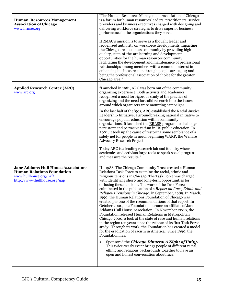| <b>Human Resources Management</b><br><b>Association of Chicago</b><br>www.hrmac.org                                                | "The Human Resources Management Association of Chicago<br>is a forum for human resources leaders, practitioners, service<br>providers and business executives charged with designing and<br>delivering workforce strategies to drive superior business<br>performance in the organizations they serve.<br>HRMAC's mission is to serve as a thought leader and<br>recognized authority on workforce developments impacting<br>the Chicago area business community by providing high<br>quality, state-of-the-art learning and development<br>opportunities for the human resources community;<br>facilitating the development and maintenance of professional<br>relationships among members with a common interest in<br>enhancing business results through people strategies; and<br>being the professional association of choice for the greater<br>Chicago area."                                                                                                                                                                                                                                                                                                                                                                                    |
|------------------------------------------------------------------------------------------------------------------------------------|---------------------------------------------------------------------------------------------------------------------------------------------------------------------------------------------------------------------------------------------------------------------------------------------------------------------------------------------------------------------------------------------------------------------------------------------------------------------------------------------------------------------------------------------------------------------------------------------------------------------------------------------------------------------------------------------------------------------------------------------------------------------------------------------------------------------------------------------------------------------------------------------------------------------------------------------------------------------------------------------------------------------------------------------------------------------------------------------------------------------------------------------------------------------------------------------------------------------------------------------------------|
| <b>Applied Research Center (ARC)</b><br>www.arc.org                                                                                | "Launched in 1981, ARC was born out of the community<br>organizing experience. Both activists and academics<br>recognized a need for rigorous study of the practice of<br>organizing and the need for solid research into the issues<br>around which organizers were mounting campaigns.<br>In the last half of the '90s, ARC established the Racial Justice<br>Leadership Initiative, a groundbreaking national initiative to<br>encourage popular education within community<br>organizations. It launched the ERASE program to challenge<br>persistent and pervasive racism in US public education. In<br>2001, it took up the cause of restoring some semblance of a<br>safety net for people in need, beginning WARP, the Welfare<br>Advocacy Research Project.<br>Today ARC is a leading research lab and foundry where<br>academics and activists forge tools to spark social progress<br>and measure the results."                                                                                                                                                                                                                                                                                                                              |
| Jane Addams Hull House Association~<br><b>Human Relations Foundation</b><br>www.hullhouse.org/hrf/<br>http://www.hullhouse.org/gap | "In 1988, The Chicago Community Trust created a Human<br>Relations Task Force to examine the racial, ethnic and<br>religious tensions in Chicago. The Task Force was charged<br>with identifying short- and long-term opportunities for<br>diffusing these tensions. The work of the Task Force<br>culminated in the publication of a Report on Race, Ethnic and<br>Religious Tensions in Chicago, in September, 1989. In March,<br>1990, the Human Relations Foundation of Chicago was<br>created per one of the recommendations of that report. In<br>October 2000, the Foundation became an affiliate of Jane<br>Addams Hull House Association. In November 2000, the<br>Foundation released Human Relations in Metropolitan<br>Chicago 2000, a look at the state of race and human relations<br>in the region ten years since the release of its first Task Force<br>study. Through its work, the Foundation has created a model<br>for the eradication of racism in America. Since 1990, the<br>Foundation has:<br>Sponsored the Chicago Dinners: A Night of Unity.<br>$\bullet$<br>This twice-yearly event brings people of different racial,<br>ethnic and religious backgrounds together to have an<br>open and honest conversation about race. |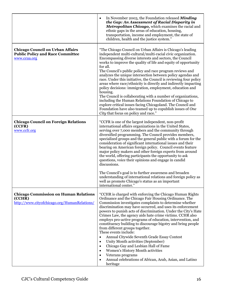|                                                                                                        | In November 2003, the Foundation released <b>Minding</b><br>$\bullet$<br>the Gap: An Assessment of Racial Disparity in<br>Metropolitan Chicago, which examines the racial and<br>ethnic gaps in the areas of education, housing,<br>transportation, income and employment, the state of<br>children, health and the justice system."                                                                                                                                                                                                                                                                                                                                                                                                                                                                                                                                                                        |
|--------------------------------------------------------------------------------------------------------|-------------------------------------------------------------------------------------------------------------------------------------------------------------------------------------------------------------------------------------------------------------------------------------------------------------------------------------------------------------------------------------------------------------------------------------------------------------------------------------------------------------------------------------------------------------------------------------------------------------------------------------------------------------------------------------------------------------------------------------------------------------------------------------------------------------------------------------------------------------------------------------------------------------|
| <b>Chicago Council on Urban Affairs</b><br><b>Public Policy and Race Committee</b><br>www.ccua.org     | "The Chicago Council on Urban Affairs is Chicago's leading<br>independent multi-cultural/multi-racial civic organization.<br>Encompassing diverse interests and sectors, the Council<br>works to improve the quality of life and equity of opportunity<br>for all.<br>The Council's public policy and race program reviews and<br>analyzes the unique intersection between policy agendas and<br>race. Under this initiative, the Council is reviewing four policy<br>areas where race/ethnicity is directly and indirectly impacting<br>policy decisions: immigration, employment, education and<br>housing.<br>The Council is collaborating with a number of organizations,<br>including the Human Relations Foundation of Chicago to<br>explore critical issues facing Chicagoland. The Council and<br>Foundation have also teamed up to copublish issues of One<br>City that focus on policy and race." |
| <b>Chicago Council on Foreign Relations</b><br>(CCFR)<br>www.ccfr.org                                  | "CCFR is one of the largest independent, non-profit<br>international affairs organizations in the United States,<br>serving over 7,000 members and the community through<br>diversified programming. The Council provides members,<br>specialized groups and the general public with a forum for the<br>consideration of significant international issues and their<br>bearing on American foreign policy. Council events feature<br>major policy makers and other foreign experts from around<br>the world, offering participants the opportunity to ask<br>questions, voice their opinions and engage in candid<br>discussions.<br>The Council's goal is to further awareness and broaden<br>understanding of international relations and foreign policy as<br>well as promote Chicago's status as an important<br>international center."                                                                 |
| <b>Chicago Commission on Human Relations</b><br>(CCHR)<br>http://www.cityofchicago.org/HumanRelations/ | "CCHR is charged with enforcing the Chicago Human Rights<br>Ordinance and the Chicago Fair Housing Ordinance. The<br>Commission investigates complaints to determine whether<br>discrimination may have occurred, and uses its enforcement<br>powers to punish acts of discrimination. Under the City's Hate<br>Crimes Law, the agency aids hate crime victims. CCHR also<br>employs pro-active programs of education, intervention, and<br>constituency building to discourage bigotry and bring people<br>from different groups together.<br>These events include:<br>Annual Citywide Seventh Grade Essay Contest<br>$\bullet$<br>Unity Month activities (September)<br>$\bullet$<br>Chicago Gay and Lesbian Hall of Fame<br>$\bullet$<br>Women's History Month activities<br>٠<br>Veterans programs<br>٠<br>Annual celebrations of African, Arab, Asian, and Latino<br>٠<br>heritage                     |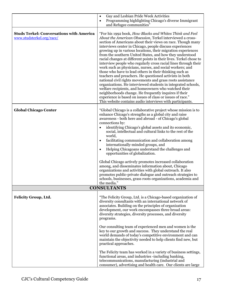|                                                                              | Gay and Lesbian Pride Week Activities<br>$\bullet$                                                                                                                                                                                                                                                                                                                                                                                                                                                                                                                                                                                                                                                                                                                                                                                                                                                                                                                                                                                                                                 |
|------------------------------------------------------------------------------|------------------------------------------------------------------------------------------------------------------------------------------------------------------------------------------------------------------------------------------------------------------------------------------------------------------------------------------------------------------------------------------------------------------------------------------------------------------------------------------------------------------------------------------------------------------------------------------------------------------------------------------------------------------------------------------------------------------------------------------------------------------------------------------------------------------------------------------------------------------------------------------------------------------------------------------------------------------------------------------------------------------------------------------------------------------------------------|
|                                                                              | Programming highlighting Chicago's diverse Immigrant<br>$\bullet$<br>and Refugee communities"                                                                                                                                                                                                                                                                                                                                                                                                                                                                                                                                                                                                                                                                                                                                                                                                                                                                                                                                                                                      |
| <b>Studs Terkel: Conversations with America</b><br>www.studsterkel.org/race/ | "For his 1992 book, How Blacks and Whites Think and Feel<br>About the American Obsession, Terkel interviewed a cross-<br>section of Americans about their views on race. Though many<br>interviews center in Chicago, people discuss experiences<br>growing up in various locations, their migration experiences<br>from the southern United States, and how they understood<br>racial changes at different points in their lives. Terkel chose to<br>interview people who regularly cross racial lines through their<br>work such as physicians, nurses, and social workers; and<br>those who have to lead others in their thinking such as<br>teachers and preachers. He questioned activists in both<br>national civil rights movements and grass roots assistance<br>organizations. He interviewed students in integrated schools,<br>welfare recipients, and homeowners who watched their<br>neighborhoods change. He frequently inquires if their<br>experience is based on issues of class or issues of race."<br>This website contains audio interviews with participants. |
| <b>Global Chicago Center</b>                                                 | "Global Chicago is a collaborative project whose mission is to<br>enhance Chicago's strengths as a global city and raise                                                                                                                                                                                                                                                                                                                                                                                                                                                                                                                                                                                                                                                                                                                                                                                                                                                                                                                                                           |
|                                                                              | awareness - both here and abroad - of Chicago's global                                                                                                                                                                                                                                                                                                                                                                                                                                                                                                                                                                                                                                                                                                                                                                                                                                                                                                                                                                                                                             |
|                                                                              | connections by:                                                                                                                                                                                                                                                                                                                                                                                                                                                                                                                                                                                                                                                                                                                                                                                                                                                                                                                                                                                                                                                                    |
|                                                                              | identifying Chicago's global assets and its economic,<br>social, intellectual and cultural links to the rest of the                                                                                                                                                                                                                                                                                                                                                                                                                                                                                                                                                                                                                                                                                                                                                                                                                                                                                                                                                                |
|                                                                              | world,                                                                                                                                                                                                                                                                                                                                                                                                                                                                                                                                                                                                                                                                                                                                                                                                                                                                                                                                                                                                                                                                             |
|                                                                              | facilitating communication and collaboration among<br>$\bullet$<br>internationally-minded groups, and                                                                                                                                                                                                                                                                                                                                                                                                                                                                                                                                                                                                                                                                                                                                                                                                                                                                                                                                                                              |
|                                                                              | Helping Chicagoans understand the challenges and<br>$\bullet$<br>opportunities of globalization.                                                                                                                                                                                                                                                                                                                                                                                                                                                                                                                                                                                                                                                                                                                                                                                                                                                                                                                                                                                   |
|                                                                              | Global Chicago actively promotes increased collaboration<br>among, and disseminates information about, Chicago<br>organizations and activities with global outreach. It also<br>promotes public-private dialogue and outreach strategies to<br>schools, businesses, grass roots organizations, academia and<br>the media."                                                                                                                                                                                                                                                                                                                                                                                                                                                                                                                                                                                                                                                                                                                                                         |
|                                                                              | <b>CONSULTANTS</b>                                                                                                                                                                                                                                                                                                                                                                                                                                                                                                                                                                                                                                                                                                                                                                                                                                                                                                                                                                                                                                                                 |
| <b>Felicity Group, Ltd.</b>                                                  | "The Felicity Group, Ltd. is a Chicago-based organization of<br>diversity consultants with an international network of<br>associates. Building on the principles of organization<br>development, our work encompasses three broad areas:<br>diversity strategies, diversity processes, and diversity<br>programs.                                                                                                                                                                                                                                                                                                                                                                                                                                                                                                                                                                                                                                                                                                                                                                  |
|                                                                              | Our consulting team of experienced men and women is the<br>key to our growth and success. They understand the real<br>world demands of today's competitive environment and can<br>maintain the objectivity needed to help clients find new, but<br>practical approaches.                                                                                                                                                                                                                                                                                                                                                                                                                                                                                                                                                                                                                                                                                                                                                                                                           |
|                                                                              | The Felicity team has worked in a variety of business settings,<br>functional areas, and industries -including banking,<br>telecommunications, manufacturing (industrial and<br>consumer), advertising and health care. Our clients are large                                                                                                                                                                                                                                                                                                                                                                                                                                                                                                                                                                                                                                                                                                                                                                                                                                      |